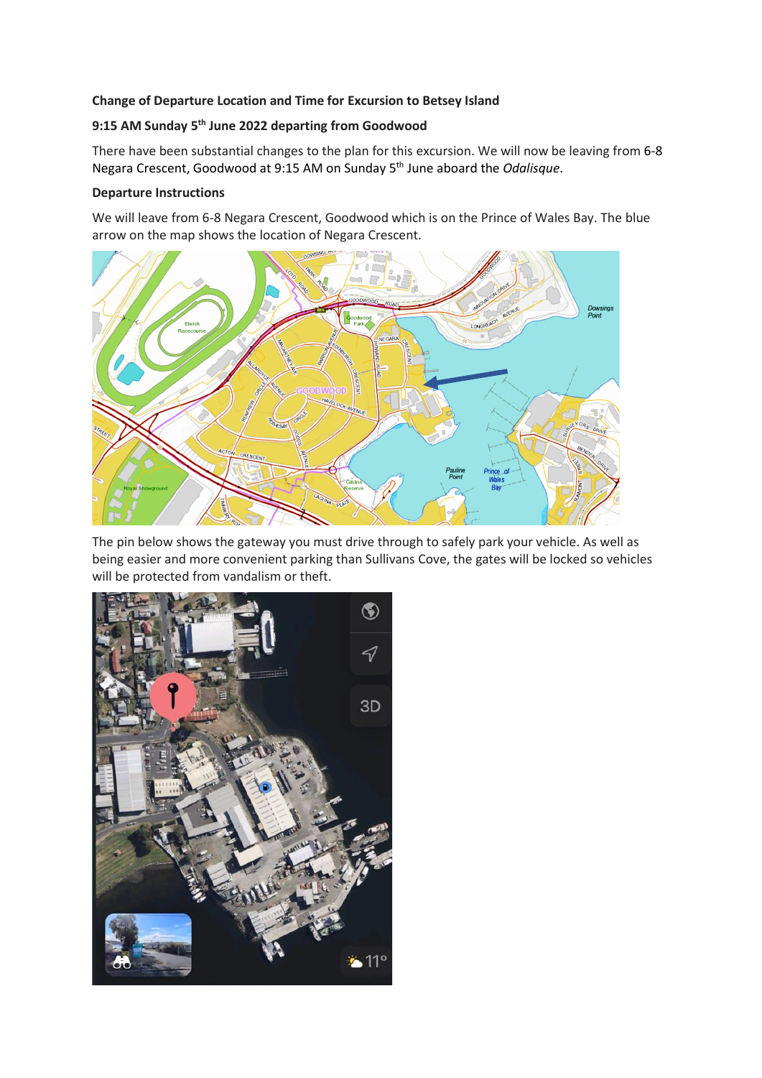# **Change of Departure Location and Time for Excursion to Betsey Island**

# **9:15 AM Sunday 5 th June 2022 departing from Goodwood**

There have been substantial changes to the plan for this excursion. We will now be leaving from 6-8 Negara Crescent, Goodwood at 9:15 AM on Sunday 5th June aboard the *Odalisque*.

## **Departure Instructions**

We will leave from 6-8 Negara Crescent, Goodwood which is on the Prince of Wales Bay. The blue arrow on the map shows the location of Negara Crescent.



The pin below shows the gateway you must drive through to safely park your vehicle. As well as being easier and more convenient parking than Sullivans Cove, the gates will be locked so vehicles will be protected from vandalism or theft.

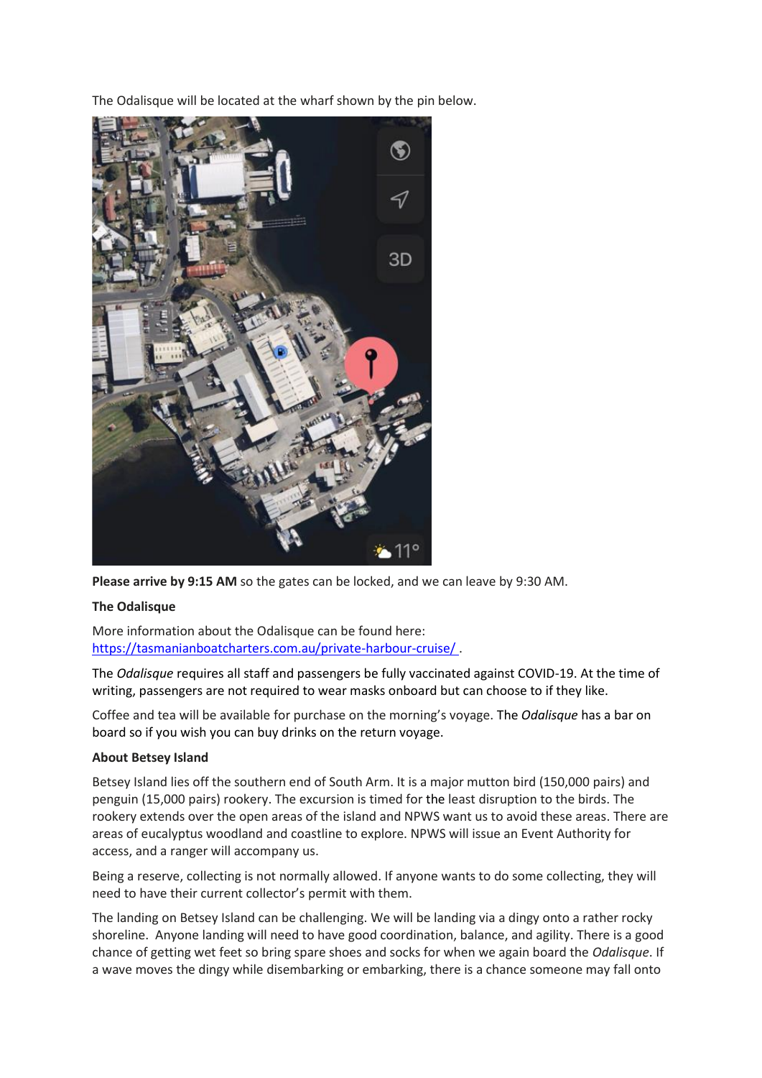The Odalisque will be located at the wharf shown by the pin below.



**Please arrive by 9:15 AM** so the gates can be locked, and we can leave by 9:30 AM.

## **The Odalisque**

More information about the Odalisque can be found here: [https://tasmanianboatcharters.com.au/private-harbour-cruise/](about:blank) .

The *Odalisque* requires all staff and passengers be fully vaccinated against COVID-19. At the time of writing, passengers are not required to wear masks onboard but can choose to if they like.

Coffee and tea will be available for purchase on the morning's voyage. The *Odalisque* has a bar on board so if you wish you can buy drinks on the return voyage.

## **About Betsey Island**

Betsey Island lies off the southern end of South Arm. It is a major mutton bird (150,000 pairs) and penguin (15,000 pairs) rookery. The excursion is timed for the least disruption to the birds. The rookery extends over the open areas of the island and NPWS want us to avoid these areas. There are areas of eucalyptus woodland and coastline to explore. NPWS will issue an Event Authority for access, and a ranger will accompany us.

Being a reserve, collecting is not normally allowed. If anyone wants to do some collecting, they will need to have their current collector's permit with them.

The landing on Betsey Island can be challenging. We will be landing via a dingy onto a rather rocky shoreline. Anyone landing will need to have good coordination, balance, and agility. There is a good chance of getting wet feet so bring spare shoes and socks for when we again board the *Odalisque*. If a wave moves the dingy while disembarking or embarking, there is a chance someone may fall onto